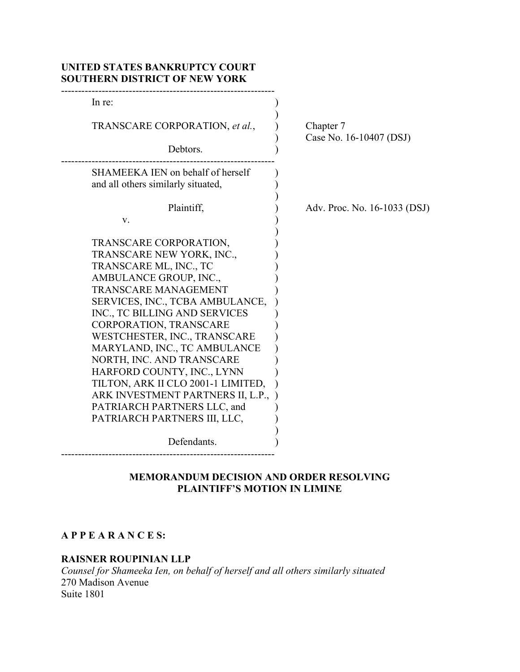| In re:                             |                              |
|------------------------------------|------------------------------|
| TRANSCARE CORPORATION, et al.,     | Chapter 7                    |
| Debtors.                           | Case No. 16-10407 (DSJ)      |
| SHAMEEKA IEN on behalf of herself  |                              |
| and all others similarly situated, |                              |
| Plaintiff,                         | Adv. Proc. No. 16-1033 (DSJ) |
| V.                                 |                              |
| TRANSCARE CORPORATION,             |                              |
| TRANSCARE NEW YORK, INC.,          |                              |
| TRANSCARE ML, INC., TC             |                              |
| AMBULANCE GROUP, INC.,             |                              |
| <b>TRANSCARE MANAGEMENT</b>        |                              |
| SERVICES, INC., TCBA AMBULANCE,    |                              |
| INC., TC BILLING AND SERVICES      |                              |
| CORPORATION, TRANSCARE             |                              |
| WESTCHESTER, INC., TRANSCARE       |                              |
| MARYLAND, INC., TC AMBULANCE       |                              |
| NORTH, INC. AND TRANSCARE          |                              |
| HARFORD COUNTY, INC., LYNN         |                              |
| TILTON, ARK II CLO 2001-1 LIMITED, |                              |
| ARK INVESTMENT PARTNERS II, L.P.,  |                              |
| PATRIARCH PARTNERS LLC, and        |                              |
| PATRIARCH PARTNERS III, LLC,       |                              |
| Defendants.                        |                              |

# MEMORANDUM DECISION AND ORDER RESOLVING PLAINTIFF'S MOTION IN LIMINE

# A P P E A R A N C E S:

#### RAISNER ROUPINIAN LLP

Counsel for Shameeka Ien, on behalf of herself and all others similarly situated 270 Madison Avenue Suite 1801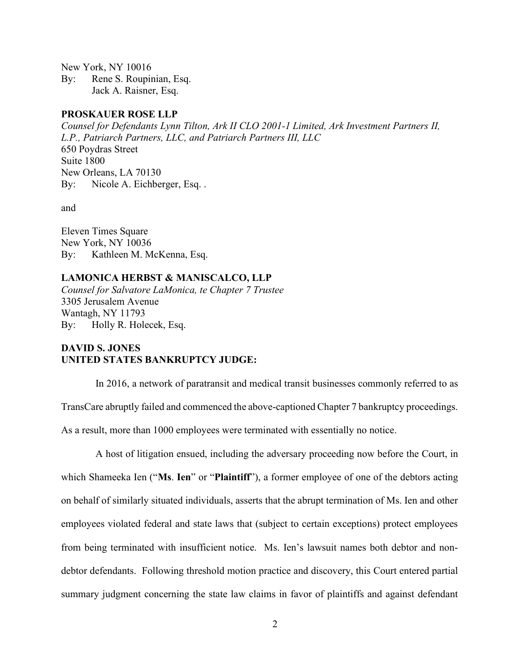New York, NY 10016 By: Rene S. Roupinian, Esq. Jack A. Raisner, Esq.

#### PROSKAUER ROSE LLP

Counsel for Defendants Lynn Tilton, Ark II CLO 2001-1 Limited, Ark Investment Partners II, L.P., Patriarch Partners, LLC, and Patriarch Partners III, LLC 650 Poydras Street Suite 1800 New Orleans, LA 70130 By: Nicole A. Eichberger, Esq. .

and

Eleven Times Square New York, NY 10036 By: Kathleen M. McKenna, Esq.

#### LAMONICA HERBST & MANISCALCO, LLP

Counsel for Salvatore LaMonica, te Chapter 7 Trustee 3305 Jerusalem Avenue Wantagh, NY 11793 By: Holly R. Holecek, Esq.

## DAVID S. JONES UNITED STATES BANKRUPTCY JUDGE:

In 2016, a network of paratransit and medical transit businesses commonly referred to as TransCare abruptly failed and commenced the above-captioned Chapter 7 bankruptcy proceedings.

As a result, more than 1000 employees were terminated with essentially no notice.

A host of litigation ensued, including the adversary proceeding now before the Court, in which Shameeka Ien ("Ms. Ien" or "Plaintiff"), a former employee of one of the debtors acting on behalf of similarly situated individuals, asserts that the abrupt termination of Ms. Ien and other employees violated federal and state laws that (subject to certain exceptions) protect employees from being terminated with insufficient notice. Ms. Ien's lawsuit names both debtor and nondebtor defendants. Following threshold motion practice and discovery, this Court entered partial summary judgment concerning the state law claims in favor of plaintiffs and against defendant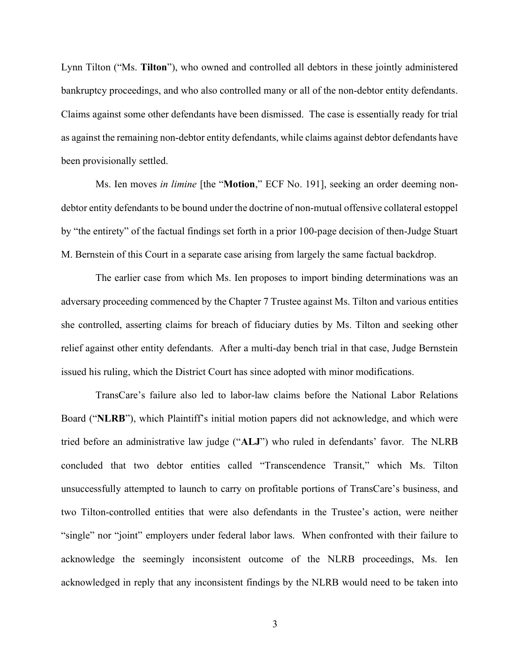Lynn Tilton ("Ms. Tilton"), who owned and controlled all debtors in these jointly administered bankruptcy proceedings, and who also controlled many or all of the non-debtor entity defendants. Claims against some other defendants have been dismissed. The case is essentially ready for trial as against the remaining non-debtor entity defendants, while claims against debtor defendants have been provisionally settled.

Ms. Ien moves in limine [the "Motion," ECF No. 191], seeking an order deeming nondebtor entity defendants to be bound under the doctrine of non-mutual offensive collateral estoppel by "the entirety" of the factual findings set forth in a prior 100-page decision of then-Judge Stuart M. Bernstein of this Court in a separate case arising from largely the same factual backdrop.

The earlier case from which Ms. Ien proposes to import binding determinations was an adversary proceeding commenced by the Chapter 7 Trustee against Ms. Tilton and various entities she controlled, asserting claims for breach of fiduciary duties by Ms. Tilton and seeking other relief against other entity defendants. After a multi-day bench trial in that case, Judge Bernstein issued his ruling, which the District Court has since adopted with minor modifications.

TransCare's failure also led to labor-law claims before the National Labor Relations Board ("NLRB"), which Plaintiff's initial motion papers did not acknowledge, and which were tried before an administrative law judge ("ALJ") who ruled in defendants' favor. The NLRB concluded that two debtor entities called "Transcendence Transit," which Ms. Tilton unsuccessfully attempted to launch to carry on profitable portions of TransCare's business, and two Tilton-controlled entities that were also defendants in the Trustee's action, were neither "single" nor "joint" employers under federal labor laws. When confronted with their failure to acknowledge the seemingly inconsistent outcome of the NLRB proceedings, Ms. Ien acknowledged in reply that any inconsistent findings by the NLRB would need to be taken into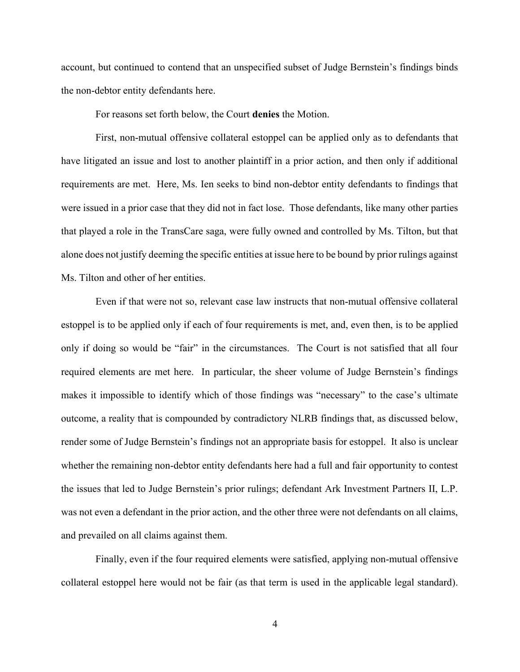account, but continued to contend that an unspecified subset of Judge Bernstein's findings binds the non-debtor entity defendants here.

For reasons set forth below, the Court denies the Motion.

First, non-mutual offensive collateral estoppel can be applied only as to defendants that have litigated an issue and lost to another plaintiff in a prior action, and then only if additional requirements are met. Here, Ms. Ien seeks to bind non-debtor entity defendants to findings that were issued in a prior case that they did not in fact lose. Those defendants, like many other parties that played a role in the TransCare saga, were fully owned and controlled by Ms. Tilton, but that alone does not justify deeming the specific entities at issue here to be bound by prior rulings against Ms. Tilton and other of her entities.

Even if that were not so, relevant case law instructs that non-mutual offensive collateral estoppel is to be applied only if each of four requirements is met, and, even then, is to be applied only if doing so would be "fair" in the circumstances. The Court is not satisfied that all four required elements are met here. In particular, the sheer volume of Judge Bernstein's findings makes it impossible to identify which of those findings was "necessary" to the case's ultimate outcome, a reality that is compounded by contradictory NLRB findings that, as discussed below, render some of Judge Bernstein's findings not an appropriate basis for estoppel. It also is unclear whether the remaining non-debtor entity defendants here had a full and fair opportunity to contest the issues that led to Judge Bernstein's prior rulings; defendant Ark Investment Partners II, L.P. was not even a defendant in the prior action, and the other three were not defendants on all claims, and prevailed on all claims against them.

Finally, even if the four required elements were satisfied, applying non-mutual offensive collateral estoppel here would not be fair (as that term is used in the applicable legal standard).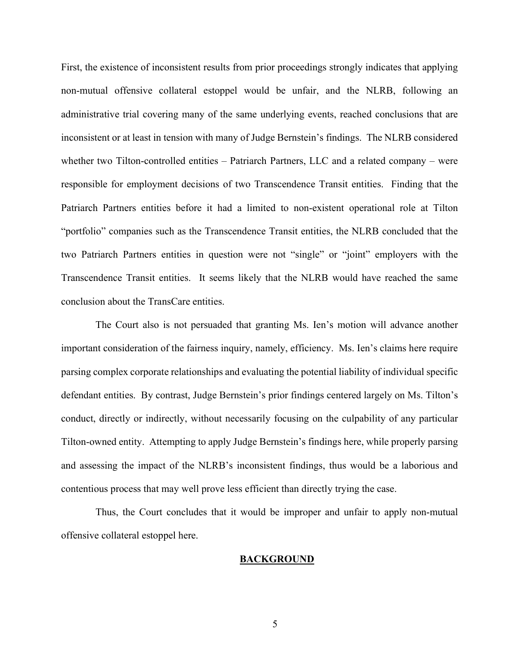First, the existence of inconsistent results from prior proceedings strongly indicates that applying non-mutual offensive collateral estoppel would be unfair, and the NLRB, following an administrative trial covering many of the same underlying events, reached conclusions that are inconsistent or at least in tension with many of Judge Bernstein's findings. The NLRB considered whether two Tilton-controlled entities – Patriarch Partners, LLC and a related company – were responsible for employment decisions of two Transcendence Transit entities. Finding that the Patriarch Partners entities before it had a limited to non-existent operational role at Tilton "portfolio" companies such as the Transcendence Transit entities, the NLRB concluded that the two Patriarch Partners entities in question were not "single" or "joint" employers with the Transcendence Transit entities. It seems likely that the NLRB would have reached the same conclusion about the TransCare entities.

The Court also is not persuaded that granting Ms. Ien's motion will advance another important consideration of the fairness inquiry, namely, efficiency. Ms. Ien's claims here require parsing complex corporate relationships and evaluating the potential liability of individual specific defendant entities. By contrast, Judge Bernstein's prior findings centered largely on Ms. Tilton's conduct, directly or indirectly, without necessarily focusing on the culpability of any particular Tilton-owned entity. Attempting to apply Judge Bernstein's findings here, while properly parsing and assessing the impact of the NLRB's inconsistent findings, thus would be a laborious and contentious process that may well prove less efficient than directly trying the case.

Thus, the Court concludes that it would be improper and unfair to apply non-mutual offensive collateral estoppel here.

#### **BACKGROUND**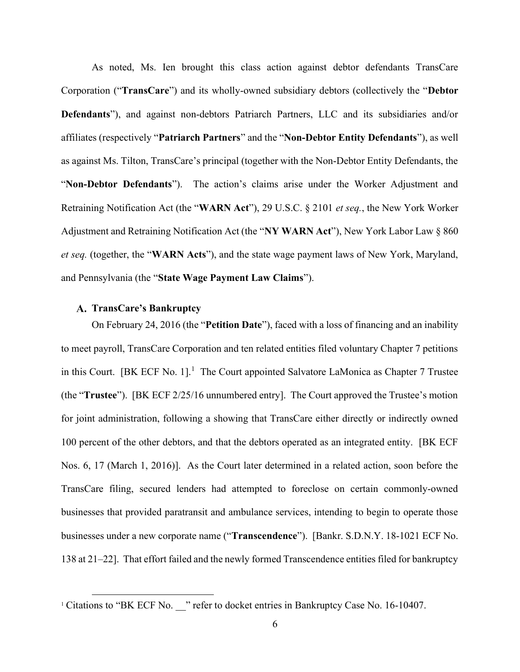As noted, Ms. Ien brought this class action against debtor defendants TransCare Corporation ("TransCare") and its wholly-owned subsidiary debtors (collectively the "Debtor Defendants"), and against non-debtors Patriarch Partners, LLC and its subsidiaries and/or affiliates (respectively "Patriarch Partners" and the "Non-Debtor Entity Defendants"), as well as against Ms. Tilton, TransCare's principal (together with the Non-Debtor Entity Defendants, the "Non-Debtor Defendants"). The action's claims arise under the Worker Adjustment and Retraining Notification Act (the "WARN Act"), 29 U.S.C. § 2101 et seq., the New York Worker Adjustment and Retraining Notification Act (the "NY WARN Act"), New York Labor Law § 860 et seq. (together, the "WARN Acts"), and the state wage payment laws of New York, Maryland, and Pennsylvania (the "State Wage Payment Law Claims").

## A. TransCare's Bankruptcy

On February 24, 2016 (the "Petition Date"), faced with a loss of financing and an inability to meet payroll, TransCare Corporation and ten related entities filed voluntary Chapter 7 petitions in this Court. [BK ECF No. 1]. $<sup>1</sup>$  The Court appointed Salvatore LaMonica as Chapter 7 Trustee</sup> (the "Trustee"). [BK ECF 2/25/16 unnumbered entry]. The Court approved the Trustee's motion for joint administration, following a showing that TransCare either directly or indirectly owned 100 percent of the other debtors, and that the debtors operated as an integrated entity. [BK ECF Nos. 6, 17 (March 1, 2016)]. As the Court later determined in a related action, soon before the TransCare filing, secured lenders had attempted to foreclose on certain commonly-owned businesses that provided paratransit and ambulance services, intending to begin to operate those businesses under a new corporate name ("Transcendence"). [Bankr. S.D.N.Y. 18-1021 ECF No. 138 at 21–22]. That effort failed and the newly formed Transcendence entities filed for bankruptcy

<sup>&</sup>lt;sup>1</sup> Citations to "BK ECF No. " refer to docket entries in Bankruptcy Case No. 16-10407.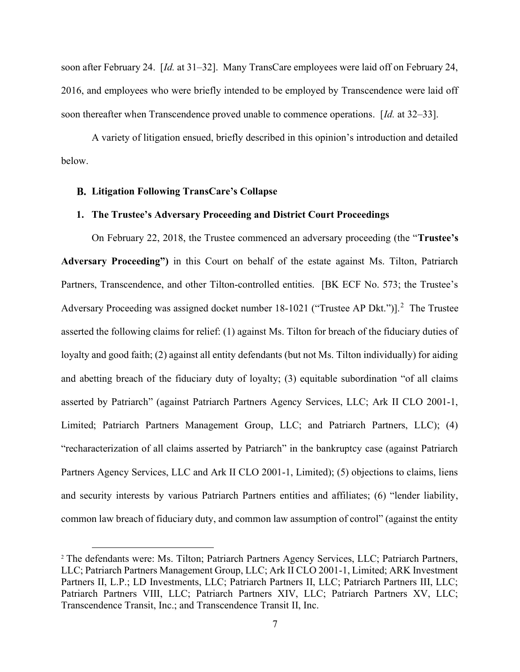soon after February 24. [Id. at 31–32]. Many TransCare employees were laid off on February 24, 2016, and employees who were briefly intended to be employed by Transcendence were laid off soon thereafter when Transcendence proved unable to commence operations. [Id. at 32–33].

A variety of litigation ensued, briefly described in this opinion's introduction and detailed below.

## Litigation Following TransCare's Collapse

## 1. The Trustee's Adversary Proceeding and District Court Proceedings

On February 22, 2018, the Trustee commenced an adversary proceeding (the "Trustee's Adversary Proceeding") in this Court on behalf of the estate against Ms. Tilton, Patriarch Partners, Transcendence, and other Tilton-controlled entities. [BK ECF No. 573; the Trustee's Adversary Proceeding was assigned docket number  $18-1021$  ("Trustee AP Dkt.")].<sup>2</sup> The Trustee asserted the following claims for relief: (1) against Ms. Tilton for breach of the fiduciary duties of loyalty and good faith; (2) against all entity defendants (but not Ms. Tilton individually) for aiding and abetting breach of the fiduciary duty of loyalty; (3) equitable subordination "of all claims asserted by Patriarch" (against Patriarch Partners Agency Services, LLC; Ark II CLO 2001-1, Limited; Patriarch Partners Management Group, LLC; and Patriarch Partners, LLC); (4) "recharacterization of all claims asserted by Patriarch" in the bankruptcy case (against Patriarch Partners Agency Services, LLC and Ark II CLO 2001-1, Limited); (5) objections to claims, liens and security interests by various Patriarch Partners entities and affiliates; (6) "lender liability, common law breach of fiduciary duty, and common law assumption of control" (against the entity

<sup>2</sup> The defendants were: Ms. Tilton; Patriarch Partners Agency Services, LLC; Patriarch Partners, LLC; Patriarch Partners Management Group, LLC; Ark II CLO 2001-1, Limited; ARK Investment Partners II, L.P.; LD Investments, LLC; Patriarch Partners II, LLC; Patriarch Partners III, LLC; Patriarch Partners VIII, LLC; Patriarch Partners XIV, LLC; Patriarch Partners XV, LLC; Transcendence Transit, Inc.; and Transcendence Transit II, Inc.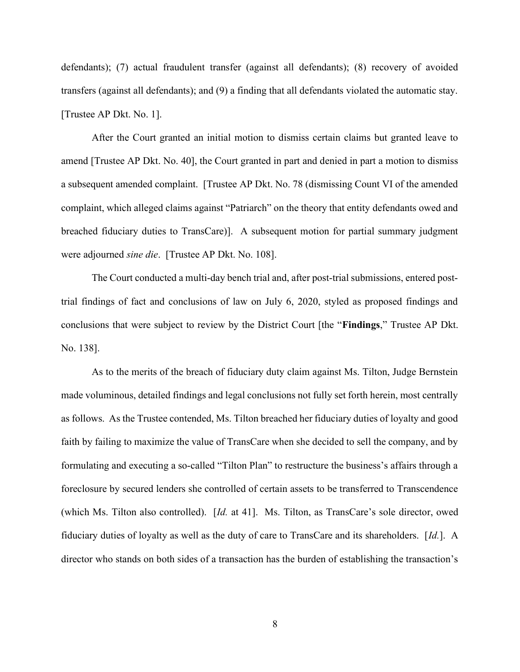defendants); (7) actual fraudulent transfer (against all defendants); (8) recovery of avoided transfers (against all defendants); and (9) a finding that all defendants violated the automatic stay. [Trustee AP Dkt. No. 1].

After the Court granted an initial motion to dismiss certain claims but granted leave to amend [Trustee AP Dkt. No. 40], the Court granted in part and denied in part a motion to dismiss a subsequent amended complaint. [Trustee AP Dkt. No. 78 (dismissing Count VI of the amended complaint, which alleged claims against "Patriarch" on the theory that entity defendants owed and breached fiduciary duties to TransCare)]. A subsequent motion for partial summary judgment were adjourned sine die. [Trustee AP Dkt. No. 108].

The Court conducted a multi-day bench trial and, after post-trial submissions, entered posttrial findings of fact and conclusions of law on July 6, 2020, styled as proposed findings and conclusions that were subject to review by the District Court [the "Findings," Trustee AP Dkt. No. 138].

As to the merits of the breach of fiduciary duty claim against Ms. Tilton, Judge Bernstein made voluminous, detailed findings and legal conclusions not fully set forth herein, most centrally as follows. As the Trustee contended, Ms. Tilton breached her fiduciary duties of loyalty and good faith by failing to maximize the value of TransCare when she decided to sell the company, and by formulating and executing a so-called "Tilton Plan" to restructure the business's affairs through a foreclosure by secured lenders she controlled of certain assets to be transferred to Transcendence (which Ms. Tilton also controlled). [Id. at 41]. Ms. Tilton, as TransCare's sole director, owed fiduciary duties of loyalty as well as the duty of care to TransCare and its shareholders. [Id.]. A director who stands on both sides of a transaction has the burden of establishing the transaction's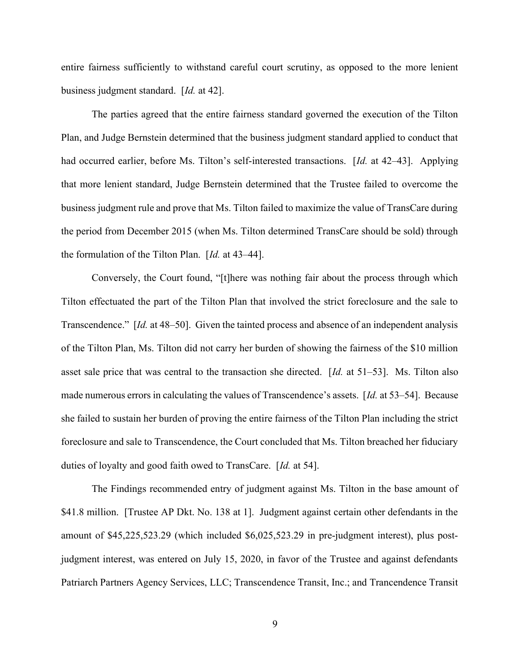entire fairness sufficiently to withstand careful court scrutiny, as opposed to the more lenient business judgment standard. [Id. at 42].

The parties agreed that the entire fairness standard governed the execution of the Tilton Plan, and Judge Bernstein determined that the business judgment standard applied to conduct that had occurred earlier, before Ms. Tilton's self-interested transactions. [Id. at 42–43]. Applying that more lenient standard, Judge Bernstein determined that the Trustee failed to overcome the business judgment rule and prove that Ms. Tilton failed to maximize the value of TransCare during the period from December 2015 (when Ms. Tilton determined TransCare should be sold) through the formulation of the Tilton Plan. [Id. at 43–44].

Conversely, the Court found, "[t]here was nothing fair about the process through which Tilton effectuated the part of the Tilton Plan that involved the strict foreclosure and the sale to Transcendence." [Id. at 48–50]. Given the tainted process and absence of an independent analysis of the Tilton Plan, Ms. Tilton did not carry her burden of showing the fairness of the \$10 million asset sale price that was central to the transaction she directed.  $\left[Id\right]$  at 51–53]. Ms. Tilton also made numerous errors in calculating the values of Transcendence's assets. [Id. at 53–54]. Because she failed to sustain her burden of proving the entire fairness of the Tilton Plan including the strict foreclosure and sale to Transcendence, the Court concluded that Ms. Tilton breached her fiduciary duties of loyalty and good faith owed to TransCare. [Id. at 54].

The Findings recommended entry of judgment against Ms. Tilton in the base amount of \$41.8 million. [Trustee AP Dkt. No. 138 at 1]. Judgment against certain other defendants in the amount of \$45,225,523.29 (which included \$6,025,523.29 in pre-judgment interest), plus postjudgment interest, was entered on July 15, 2020, in favor of the Trustee and against defendants Patriarch Partners Agency Services, LLC; Transcendence Transit, Inc.; and Trancendence Transit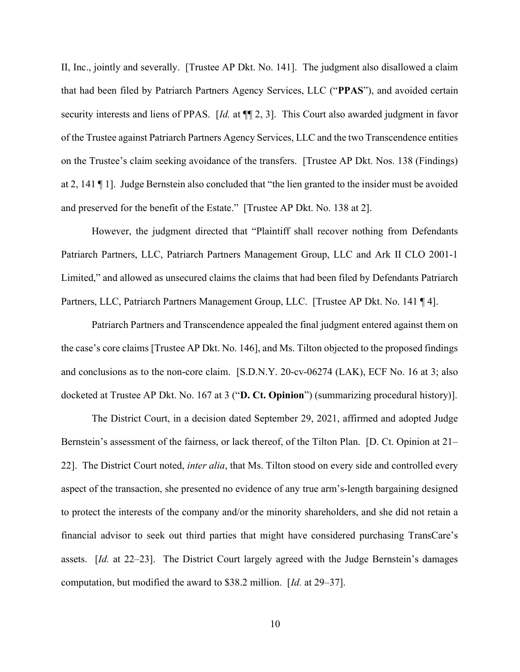II, Inc., jointly and severally. [Trustee AP Dkt. No. 141]. The judgment also disallowed a claim that had been filed by Patriarch Partners Agency Services, LLC ("PPAS"), and avoided certain security interests and liens of PPAS. [Id. at  $\P$ ] 2, 3]. This Court also awarded judgment in favor of the Trustee against Patriarch Partners Agency Services, LLC and the two Transcendence entities on the Trustee's claim seeking avoidance of the transfers. [Trustee AP Dkt. Nos. 138 (Findings) at 2, 141 ¶ 1]. Judge Bernstein also concluded that "the lien granted to the insider must be avoided and preserved for the benefit of the Estate." [Trustee AP Dkt. No. 138 at 2].

However, the judgment directed that "Plaintiff shall recover nothing from Defendants Patriarch Partners, LLC, Patriarch Partners Management Group, LLC and Ark II CLO 2001-1 Limited," and allowed as unsecured claims the claims that had been filed by Defendants Patriarch Partners, LLC, Patriarch Partners Management Group, LLC. [Trustee AP Dkt. No. 141 ¶ 4].

Patriarch Partners and Transcendence appealed the final judgment entered against them on the case's core claims [Trustee AP Dkt. No. 146], and Ms. Tilton objected to the proposed findings and conclusions as to the non-core claim. [S.D.N.Y. 20-cv-06274 (LAK), ECF No. 16 at 3; also docketed at Trustee AP Dkt. No. 167 at 3 ("D. Ct. Opinion") (summarizing procedural history)].

The District Court, in a decision dated September 29, 2021, affirmed and adopted Judge Bernstein's assessment of the fairness, or lack thereof, of the Tilton Plan. [D. Ct. Opinion at 21– 22]. The District Court noted, *inter alia*, that Ms. Tilton stood on every side and controlled every aspect of the transaction, she presented no evidence of any true arm's-length bargaining designed to protect the interests of the company and/or the minority shareholders, and she did not retain a financial advisor to seek out third parties that might have considered purchasing TransCare's assets. [Id. at 22–23]. The District Court largely agreed with the Judge Bernstein's damages computation, but modified the award to \$38.2 million. [Id. at 29–37].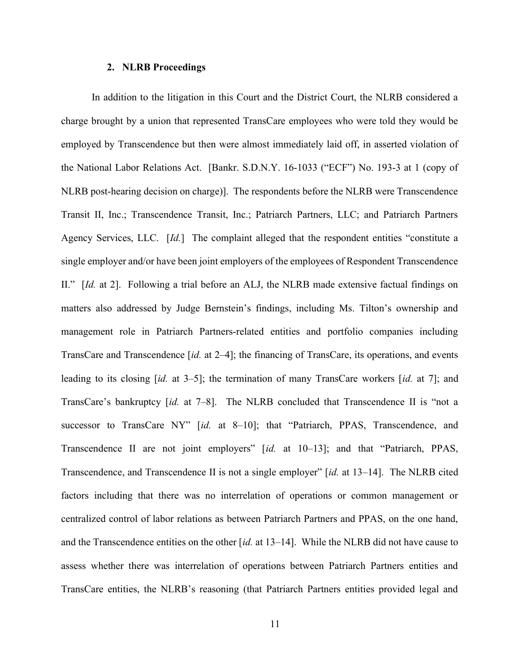#### 2. NLRB Proceedings

In addition to the litigation in this Court and the District Court, the NLRB considered a charge brought by a union that represented TransCare employees who were told they would be employed by Transcendence but then were almost immediately laid off, in asserted violation of the National Labor Relations Act. [Bankr. S.D.N.Y. 16-1033 ("ECF") No. 193-3 at 1 (copy of NLRB post-hearing decision on charge)]. The respondents before the NLRB were Transcendence Transit II, Inc.; Transcendence Transit, Inc.; Patriarch Partners, LLC; and Patriarch Partners Agency Services, LLC. [Id.] The complaint alleged that the respondent entities "constitute a single employer and/or have been joint employers of the employees of Respondent Transcendence II." [Id. at 2]. Following a trial before an ALJ, the NLRB made extensive factual findings on matters also addressed by Judge Bernstein's findings, including Ms. Tilton's ownership and management role in Patriarch Partners-related entities and portfolio companies including TransCare and Transcendence [id. at 2–4]; the financing of TransCare, its operations, and events leading to its closing [id. at 3–5]; the termination of many TransCare workers [id. at 7]; and TransCare's bankruptcy [id. at 7-8]. The NLRB concluded that Transcendence II is "not a successor to TransCare NY" [id. at 8-10]; that "Patriarch, PPAS, Transcendence, and Transcendence II are not joint employers" [id. at 10–13]; and that "Patriarch, PPAS, Transcendence, and Transcendence II is not a single employer" [id. at 13–14]. The NLRB cited factors including that there was no interrelation of operations or common management or centralized control of labor relations as between Patriarch Partners and PPAS, on the one hand, and the Transcendence entities on the other  $(id.$  at 13–14]. While the NLRB did not have cause to assess whether there was interrelation of operations between Patriarch Partners entities and TransCare entities, the NLRB's reasoning (that Patriarch Partners entities provided legal and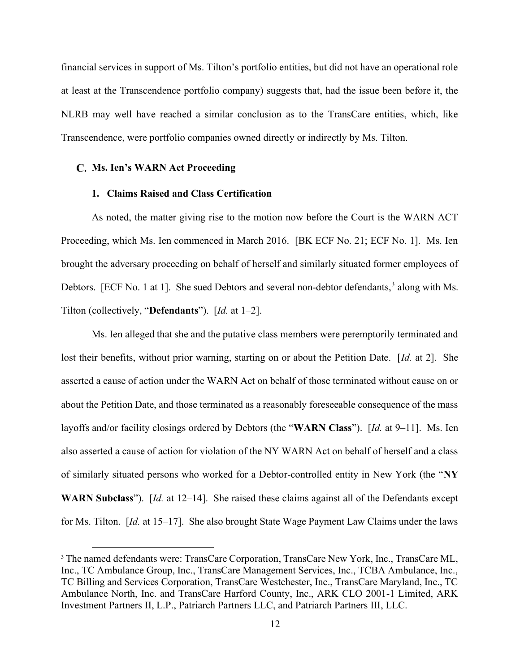financial services in support of Ms. Tilton's portfolio entities, but did not have an operational role at least at the Transcendence portfolio company) suggests that, had the issue been before it, the NLRB may well have reached a similar conclusion as to the TransCare entities, which, like Transcendence, were portfolio companies owned directly or indirectly by Ms. Tilton.

#### C. Ms. Ien's WARN Act Proceeding

#### 1. Claims Raised and Class Certification

As noted, the matter giving rise to the motion now before the Court is the WARN ACT Proceeding, which Ms. Ien commenced in March 2016. [BK ECF No. 21; ECF No. 1]. Ms. Ien brought the adversary proceeding on behalf of herself and similarly situated former employees of Debtors. [ECF No. 1 at 1]. She sued Debtors and several non-debtor defendants,<sup>3</sup> along with Ms. Tilton (collectively, "**Defendants**"). [Id. at 1–2].

Ms. Ien alleged that she and the putative class members were peremptorily terminated and lost their benefits, without prior warning, starting on or about the Petition Date. [Id. at 2]. She asserted a cause of action under the WARN Act on behalf of those terminated without cause on or about the Petition Date, and those terminated as a reasonably foreseeable consequence of the mass layoffs and/or facility closings ordered by Debtors (the "WARN Class"). [Id. at 9–11]. Ms. Ien also asserted a cause of action for violation of the NY WARN Act on behalf of herself and a class of similarly situated persons who worked for a Debtor-controlled entity in New York (the "NY WARN Subclass"). [Id. at 12–14]. She raised these claims against all of the Defendants except for Ms. Tilton. [Id. at 15–17]. She also brought State Wage Payment Law Claims under the laws

<sup>&</sup>lt;sup>3</sup> The named defendants were: TransCare Corporation, TransCare New York, Inc., TransCare ML, Inc., TC Ambulance Group, Inc., TransCare Management Services, Inc., TCBA Ambulance, Inc., TC Billing and Services Corporation, TransCare Westchester, Inc., TransCare Maryland, Inc., TC Ambulance North, Inc. and TransCare Harford County, Inc., ARK CLO 2001-1 Limited, ARK Investment Partners II, L.P., Patriarch Partners LLC, and Patriarch Partners III, LLC.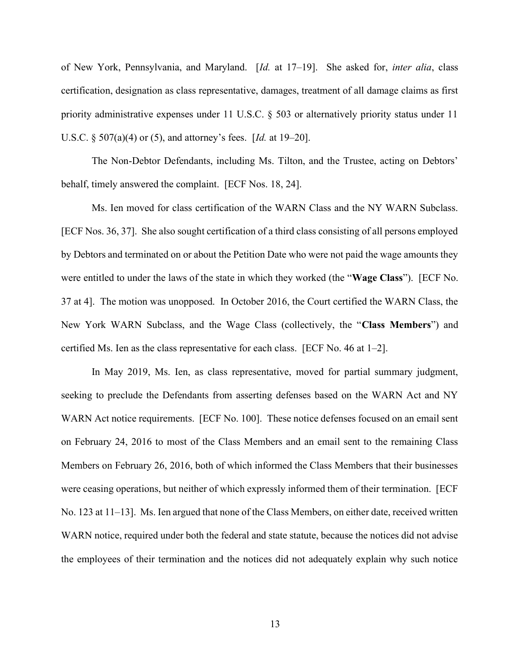of New York, Pennsylvania, and Maryland. [Id. at 17–19]. She asked for, inter alia, class certification, designation as class representative, damages, treatment of all damage claims as first priority administrative expenses under 11 U.S.C. § 503 or alternatively priority status under 11 U.S.C. § 507(a)(4) or (5), and attorney's fees. [Id. at 19–20].

The Non-Debtor Defendants, including Ms. Tilton, and the Trustee, acting on Debtors' behalf, timely answered the complaint. [ECF Nos. 18, 24].

Ms. Ien moved for class certification of the WARN Class and the NY WARN Subclass. [ECF Nos. 36, 37]. She also sought certification of a third class consisting of all persons employed by Debtors and terminated on or about the Petition Date who were not paid the wage amounts they were entitled to under the laws of the state in which they worked (the "Wage Class"). [ECF No. 37 at 4]. The motion was unopposed. In October 2016, the Court certified the WARN Class, the New York WARN Subclass, and the Wage Class (collectively, the "Class Members") and certified Ms. Ien as the class representative for each class. [ECF No. 46 at 1–2].

In May 2019, Ms. Ien, as class representative, moved for partial summary judgment, seeking to preclude the Defendants from asserting defenses based on the WARN Act and NY WARN Act notice requirements. [ECF No. 100]. These notice defenses focused on an email sent on February 24, 2016 to most of the Class Members and an email sent to the remaining Class Members on February 26, 2016, both of which informed the Class Members that their businesses were ceasing operations, but neither of which expressly informed them of their termination. [ECF No. 123 at 11–13]. Ms. Ien argued that none of the Class Members, on either date, received written WARN notice, required under both the federal and state statute, because the notices did not advise the employees of their termination and the notices did not adequately explain why such notice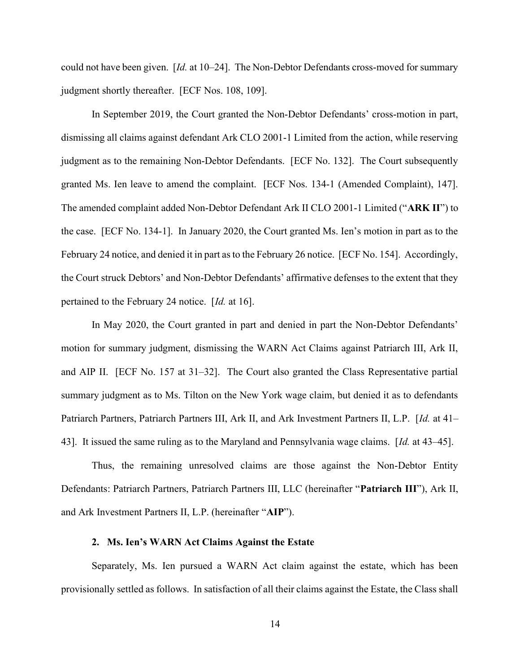could not have been given.  $Id$ , at  $10-24$ . The Non-Debtor Defendants cross-moved for summary judgment shortly thereafter. [ECF Nos. 108, 109].

In September 2019, the Court granted the Non-Debtor Defendants' cross-motion in part, dismissing all claims against defendant Ark CLO 2001-1 Limited from the action, while reserving judgment as to the remaining Non-Debtor Defendants. [ECF No. 132]. The Court subsequently granted Ms. Ien leave to amend the complaint. [ECF Nos. 134-1 (Amended Complaint), 147]. The amended complaint added Non-Debtor Defendant Ark II CLO 2001-1 Limited ("ARK II") to the case. [ECF No. 134-1]. In January 2020, the Court granted Ms. Ien's motion in part as to the February 24 notice, and denied it in part as to the February 26 notice. [ECF No. 154]. Accordingly, the Court struck Debtors' and Non-Debtor Defendants' affirmative defenses to the extent that they pertained to the February 24 notice. [Id. at 16].

In May 2020, the Court granted in part and denied in part the Non-Debtor Defendants' motion for summary judgment, dismissing the WARN Act Claims against Patriarch III, Ark II, and AIP II. [ECF No. 157 at 31–32]. The Court also granted the Class Representative partial summary judgment as to Ms. Tilton on the New York wage claim, but denied it as to defendants Patriarch Partners, Patriarch Partners III, Ark II, and Ark Investment Partners II, L.P. [Id. at 41– 43]. It issued the same ruling as to the Maryland and Pennsylvania wage claims. [Id. at 43–45].

Thus, the remaining unresolved claims are those against the Non-Debtor Entity Defendants: Patriarch Partners, Patriarch Partners III, LLC (hereinafter "Patriarch III"), Ark II, and Ark Investment Partners II, L.P. (hereinafter "AIP").

#### 2. Ms. Ien's WARN Act Claims Against the Estate

Separately, Ms. Ien pursued a WARN Act claim against the estate, which has been provisionally settled as follows. In satisfaction of all their claims against the Estate, the Class shall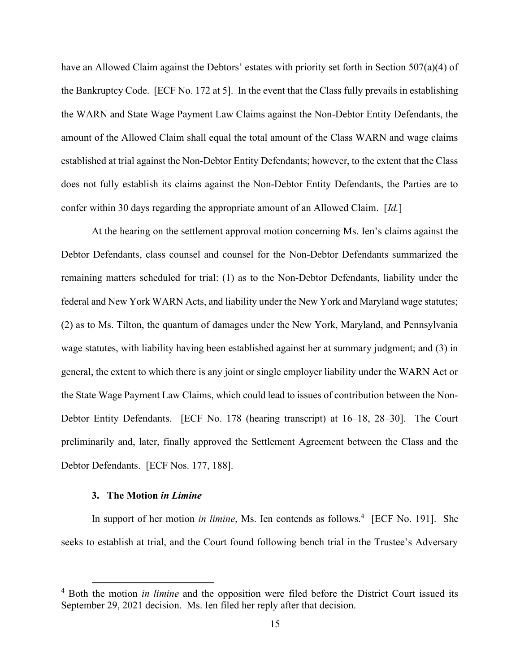have an Allowed Claim against the Debtors' estates with priority set forth in Section 507(a)(4) of the Bankruptcy Code. [ECF No. 172 at 5]. In the event that the Class fully prevails in establishing the WARN and State Wage Payment Law Claims against the Non-Debtor Entity Defendants, the amount of the Allowed Claim shall equal the total amount of the Class WARN and wage claims established at trial against the Non-Debtor Entity Defendants; however, to the extent that the Class does not fully establish its claims against the Non-Debtor Entity Defendants, the Parties are to confer within 30 days regarding the appropriate amount of an Allowed Claim. [Id.]

At the hearing on the settlement approval motion concerning Ms. Ien's claims against the Debtor Defendants, class counsel and counsel for the Non-Debtor Defendants summarized the remaining matters scheduled for trial: (1) as to the Non-Debtor Defendants, liability under the federal and New York WARN Acts, and liability under the New York and Maryland wage statutes; (2) as to Ms. Tilton, the quantum of damages under the New York, Maryland, and Pennsylvania wage statutes, with liability having been established against her at summary judgment; and (3) in general, the extent to which there is any joint or single employer liability under the WARN Act or the State Wage Payment Law Claims, which could lead to issues of contribution between the Non-Debtor Entity Defendants. [ECF No. 178 (hearing transcript) at 16–18, 28–30]. The Court preliminarily and, later, finally approved the Settlement Agreement between the Class and the Debtor Defendants. [ECF Nos. 177, 188].

#### 3. The Motion in Limine

In support of her motion in limine, Ms. Ien contends as follows.<sup>4</sup> [ECF No. 191]. She seeks to establish at trial, and the Court found following bench trial in the Trustee's Adversary

<sup>&</sup>lt;sup>4</sup> Both the motion *in limine* and the opposition were filed before the District Court issued its September 29, 2021 decision. Ms. Ien filed her reply after that decision.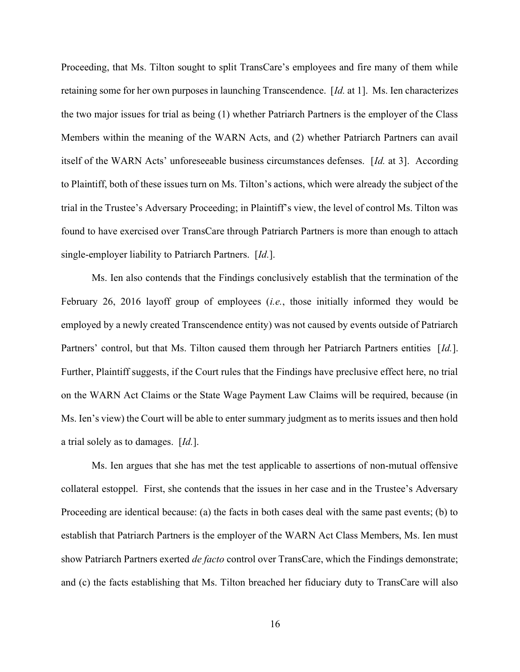Proceeding, that Ms. Tilton sought to split TransCare's employees and fire many of them while retaining some for her own purposes in launching Transcendence. [Id. at 1]. Ms. Ien characterizes the two major issues for trial as being (1) whether Patriarch Partners is the employer of the Class Members within the meaning of the WARN Acts, and (2) whether Patriarch Partners can avail itself of the WARN Acts' unforeseeable business circumstances defenses. [Id. at 3]. According to Plaintiff, both of these issues turn on Ms. Tilton's actions, which were already the subject of the trial in the Trustee's Adversary Proceeding; in Plaintiff's view, the level of control Ms. Tilton was found to have exercised over TransCare through Patriarch Partners is more than enough to attach single-employer liability to Patriarch Partners. [Id.].

Ms. Ien also contends that the Findings conclusively establish that the termination of the February 26, 2016 layoff group of employees *(i.e.*, those initially informed they would be employed by a newly created Transcendence entity) was not caused by events outside of Patriarch Partners' control, but that Ms. Tilton caused them through her Patriarch Partners entities [Id.]. Further, Plaintiff suggests, if the Court rules that the Findings have preclusive effect here, no trial on the WARN Act Claims or the State Wage Payment Law Claims will be required, because (in Ms. Ien's view) the Court will be able to enter summary judgment as to merits issues and then hold a trial solely as to damages.  $[d.].$ 

Ms. Ien argues that she has met the test applicable to assertions of non-mutual offensive collateral estoppel. First, she contends that the issues in her case and in the Trustee's Adversary Proceeding are identical because: (a) the facts in both cases deal with the same past events; (b) to establish that Patriarch Partners is the employer of the WARN Act Class Members, Ms. Ien must show Patriarch Partners exerted *de facto* control over TransCare, which the Findings demonstrate; and (c) the facts establishing that Ms. Tilton breached her fiduciary duty to TransCare will also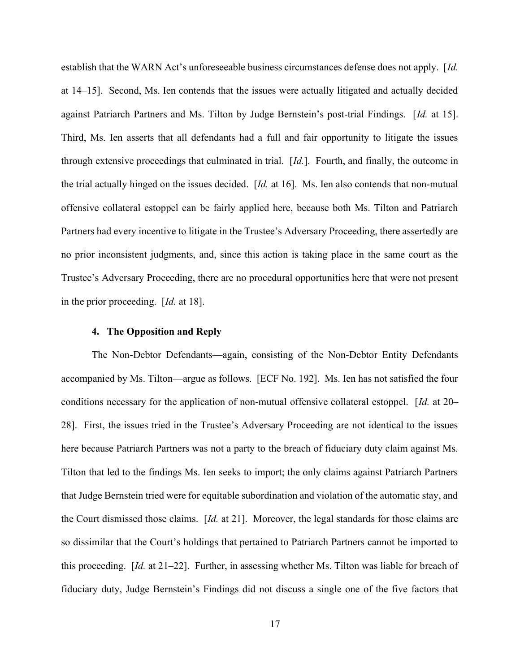establish that the WARN Act's unforeseeable business circumstances defense does not apply. [Id. at 14–15]. Second, Ms. Ien contends that the issues were actually litigated and actually decided against Patriarch Partners and Ms. Tilton by Judge Bernstein's post-trial Findings. [Id. at 15]. Third, Ms. Ien asserts that all defendants had a full and fair opportunity to litigate the issues through extensive proceedings that culminated in trial. [Id.]. Fourth, and finally, the outcome in the trial actually hinged on the issues decided. [Id. at 16]. Ms. Ien also contends that non-mutual offensive collateral estoppel can be fairly applied here, because both Ms. Tilton and Patriarch Partners had every incentive to litigate in the Trustee's Adversary Proceeding, there assertedly are no prior inconsistent judgments, and, since this action is taking place in the same court as the Trustee's Adversary Proceeding, there are no procedural opportunities here that were not present in the prior proceeding. [Id. at 18].

#### 4. The Opposition and Reply

The Non-Debtor Defendants—again, consisting of the Non-Debtor Entity Defendants accompanied by Ms. Tilton—argue as follows. [ECF No. 192]. Ms. Ien has not satisfied the four conditions necessary for the application of non-mutual offensive collateral estoppel. [Id. at 20– 28]. First, the issues tried in the Trustee's Adversary Proceeding are not identical to the issues here because Patriarch Partners was not a party to the breach of fiduciary duty claim against Ms. Tilton that led to the findings Ms. Ien seeks to import; the only claims against Patriarch Partners that Judge Bernstein tried were for equitable subordination and violation of the automatic stay, and the Court dismissed those claims. [Id. at 21]. Moreover, the legal standards for those claims are so dissimilar that the Court's holdings that pertained to Patriarch Partners cannot be imported to this proceeding. [Id. at 21–22]. Further, in assessing whether Ms. Tilton was liable for breach of fiduciary duty, Judge Bernstein's Findings did not discuss a single one of the five factors that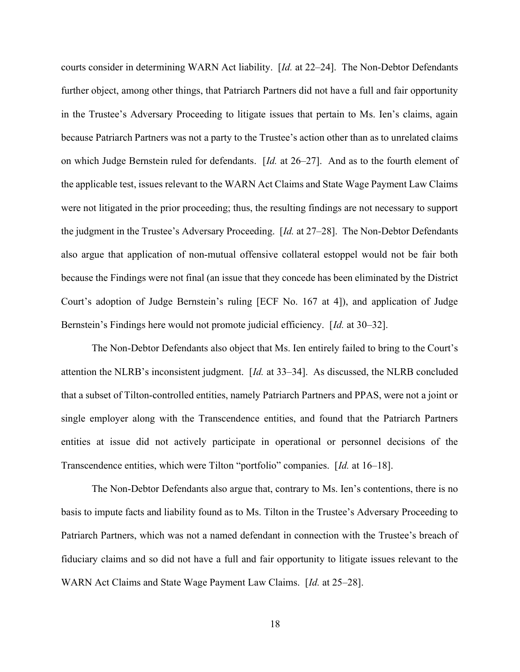courts consider in determining WARN Act liability. [Id. at 22–24]. The Non-Debtor Defendants further object, among other things, that Patriarch Partners did not have a full and fair opportunity in the Trustee's Adversary Proceeding to litigate issues that pertain to Ms. Ien's claims, again because Patriarch Partners was not a party to the Trustee's action other than as to unrelated claims on which Judge Bernstein ruled for defendants. [Id. at 26–27]. And as to the fourth element of the applicable test, issues relevant to the WARN Act Claims and State Wage Payment Law Claims were not litigated in the prior proceeding; thus, the resulting findings are not necessary to support the judgment in the Trustee's Adversary Proceeding. [Id. at 27–28]. The Non-Debtor Defendants also argue that application of non-mutual offensive collateral estoppel would not be fair both because the Findings were not final (an issue that they concede has been eliminated by the District Court's adoption of Judge Bernstein's ruling [ECF No. 167 at 4]), and application of Judge Bernstein's Findings here would not promote judicial efficiency. [Id. at 30–32].

The Non-Debtor Defendants also object that Ms. Ien entirely failed to bring to the Court's attention the NLRB's inconsistent judgment.  $\left[ Id. \right]$  at 33–34]. As discussed, the NLRB concluded that a subset of Tilton-controlled entities, namely Patriarch Partners and PPAS, were not a joint or single employer along with the Transcendence entities, and found that the Patriarch Partners entities at issue did not actively participate in operational or personnel decisions of the Transcendence entities, which were Tilton "portfolio" companies. [Id. at 16–18].

The Non-Debtor Defendants also argue that, contrary to Ms. Ien's contentions, there is no basis to impute facts and liability found as to Ms. Tilton in the Trustee's Adversary Proceeding to Patriarch Partners, which was not a named defendant in connection with the Trustee's breach of fiduciary claims and so did not have a full and fair opportunity to litigate issues relevant to the WARN Act Claims and State Wage Payment Law Claims. [Id. at 25–28].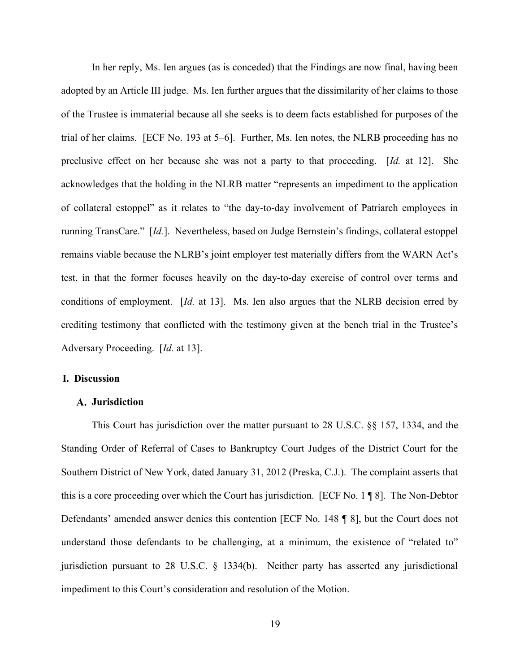In her reply, Ms. Ien argues (as is conceded) that the Findings are now final, having been adopted by an Article III judge. Ms. Ien further argues that the dissimilarity of her claims to those of the Trustee is immaterial because all she seeks is to deem facts established for purposes of the trial of her claims. [ECF No. 193 at 5–6]. Further, Ms. Ien notes, the NLRB proceeding has no preclusive effect on her because she was not a party to that proceeding. [Id. at 12]. She acknowledges that the holding in the NLRB matter "represents an impediment to the application of collateral estoppel" as it relates to "the day-to-day involvement of Patriarch employees in running TransCare." [Id.]. Nevertheless, based on Judge Bernstein's findings, collateral estoppel remains viable because the NLRB's joint employer test materially differs from the WARN Act's test, in that the former focuses heavily on the day-to-day exercise of control over terms and conditions of employment. [Id. at 13]. Ms. Ien also argues that the NLRB decision erred by crediting testimony that conflicted with the testimony given at the bench trial in the Trustee's Adversary Proceeding. [Id. at 13].

### I. Discussion

#### Jurisdiction

This Court has jurisdiction over the matter pursuant to 28 U.S.C. §§ 157, 1334, and the Standing Order of Referral of Cases to Bankruptcy Court Judges of the District Court for the Southern District of New York, dated January 31, 2012 (Preska, C.J.). The complaint asserts that this is a core proceeding over which the Court has jurisdiction. [ECF No. 1 ¶ 8]. The Non-Debtor Defendants' amended answer denies this contention [ECF No. 148 ¶ 8], but the Court does not understand those defendants to be challenging, at a minimum, the existence of "related to" jurisdiction pursuant to 28 U.S.C. § 1334(b). Neither party has asserted any jurisdictional impediment to this Court's consideration and resolution of the Motion.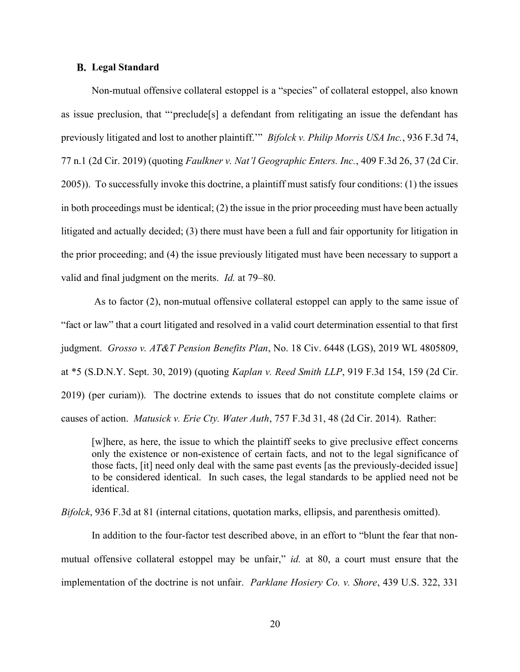#### **B.** Legal Standard

Non-mutual offensive collateral estoppel is a "species" of collateral estoppel, also known as issue preclusion, that "'preclude[s] a defendant from relitigating an issue the defendant has previously litigated and lost to another plaintiff."" Bifolck v. Philip Morris USA Inc., 936 F.3d 74, 77 n.1 (2d Cir. 2019) (quoting Faulkner v. Nat'l Geographic Enters. Inc., 409 F.3d 26, 37 (2d Cir. 2005)). To successfully invoke this doctrine, a plaintiff must satisfy four conditions: (1) the issues in both proceedings must be identical;  $(2)$  the issue in the prior proceeding must have been actually litigated and actually decided; (3) there must have been a full and fair opportunity for litigation in the prior proceeding; and (4) the issue previously litigated must have been necessary to support a valid and final judgment on the merits. Id. at 79–80.

 As to factor (2), non-mutual offensive collateral estoppel can apply to the same issue of "fact or law" that a court litigated and resolved in a valid court determination essential to that first judgment. Grosso v. AT&T Pension Benefits Plan, No. 18 Civ. 6448 (LGS), 2019 WL 4805809, at \*5 (S.D.N.Y. Sept. 30, 2019) (quoting Kaplan v. Reed Smith LLP, 919 F.3d 154, 159 (2d Cir. 2019) (per curiam)). The doctrine extends to issues that do not constitute complete claims or causes of action. *Matusick v. Erie Cty. Water Auth*, 757 F.3d 31, 48 (2d Cir. 2014). Rather:

[w]here, as here, the issue to which the plaintiff seeks to give preclusive effect concerns only the existence or non-existence of certain facts, and not to the legal significance of those facts, [it] need only deal with the same past events [as the previously-decided issue] to be considered identical. In such cases, the legal standards to be applied need not be identical.

Bifolck, 936 F.3d at 81 (internal citations, quotation marks, ellipsis, and parenthesis omitted).

In addition to the four-factor test described above, in an effort to "blunt the fear that nonmutual offensive collateral estoppel may be unfair," id. at 80, a court must ensure that the implementation of the doctrine is not unfair. Parklane Hosiery Co. v. Shore, 439 U.S. 322, 331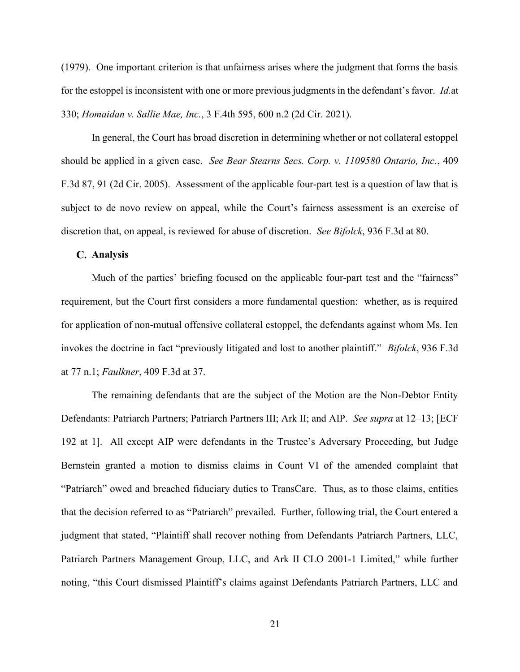(1979). One important criterion is that unfairness arises where the judgment that forms the basis for the estoppel is inconsistent with one or more previous judgments in the defendant's favor. Id.at 330; Homaidan v. Sallie Mae, Inc., 3 F.4th 595, 600 n.2 (2d Cir. 2021).

In general, the Court has broad discretion in determining whether or not collateral estoppel should be applied in a given case. See Bear Stearns Secs. Corp. v. 1109580 Ontario, Inc., 409 F.3d 87, 91 (2d Cir. 2005). Assessment of the applicable four-part test is a question of law that is subject to de novo review on appeal, while the Court's fairness assessment is an exercise of discretion that, on appeal, is reviewed for abuse of discretion. See Bifolck, 936 F.3d at 80.

#### C. Analysis

Much of the parties' briefing focused on the applicable four-part test and the "fairness" requirement, but the Court first considers a more fundamental question: whether, as is required for application of non-mutual offensive collateral estoppel, the defendants against whom Ms. Ien invokes the doctrine in fact "previously litigated and lost to another plaintiff." Bifolck, 936 F.3d at 77 n.1; Faulkner, 409 F.3d at 37.

The remaining defendants that are the subject of the Motion are the Non-Debtor Entity Defendants: Patriarch Partners; Patriarch Partners III; Ark II; and AIP. See supra at 12–13; [ECF 192 at 1]. All except AIP were defendants in the Trustee's Adversary Proceeding, but Judge Bernstein granted a motion to dismiss claims in Count VI of the amended complaint that "Patriarch" owed and breached fiduciary duties to TransCare. Thus, as to those claims, entities that the decision referred to as "Patriarch" prevailed. Further, following trial, the Court entered a judgment that stated, "Plaintiff shall recover nothing from Defendants Patriarch Partners, LLC, Patriarch Partners Management Group, LLC, and Ark II CLO 2001-1 Limited," while further noting, "this Court dismissed Plaintiff's claims against Defendants Patriarch Partners, LLC and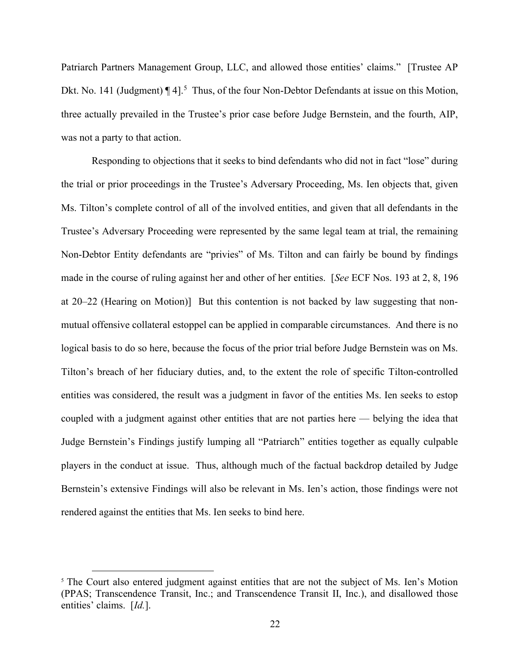Patriarch Partners Management Group, LLC, and allowed those entities' claims." [Trustee AP Dkt. No. 141 (Judgment)  $\P$  4].<sup>5</sup> Thus, of the four Non-Debtor Defendants at issue on this Motion, three actually prevailed in the Trustee's prior case before Judge Bernstein, and the fourth, AIP, was not a party to that action.

Responding to objections that it seeks to bind defendants who did not in fact "lose" during the trial or prior proceedings in the Trustee's Adversary Proceeding, Ms. Ien objects that, given Ms. Tilton's complete control of all of the involved entities, and given that all defendants in the Trustee's Adversary Proceeding were represented by the same legal team at trial, the remaining Non-Debtor Entity defendants are "privies" of Ms. Tilton and can fairly be bound by findings made in the course of ruling against her and other of her entities. [See ECF Nos. 193 at 2, 8, 196 at 20–22 (Hearing on Motion)] But this contention is not backed by law suggesting that nonmutual offensive collateral estoppel can be applied in comparable circumstances. And there is no logical basis to do so here, because the focus of the prior trial before Judge Bernstein was on Ms. Tilton's breach of her fiduciary duties, and, to the extent the role of specific Tilton-controlled entities was considered, the result was a judgment in favor of the entities Ms. Ien seeks to estop coupled with a judgment against other entities that are not parties here — belying the idea that Judge Bernstein's Findings justify lumping all "Patriarch" entities together as equally culpable players in the conduct at issue. Thus, although much of the factual backdrop detailed by Judge Bernstein's extensive Findings will also be relevant in Ms. Ien's action, those findings were not rendered against the entities that Ms. Ien seeks to bind here.

<sup>&</sup>lt;sup>5</sup> The Court also entered judgment against entities that are not the subject of Ms. Ien's Motion (PPAS; Transcendence Transit, Inc.; and Transcendence Transit II, Inc.), and disallowed those entities' claims. [Id.].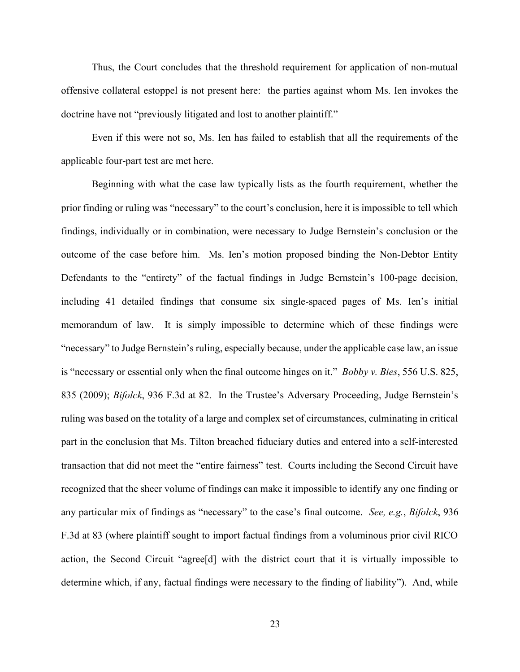Thus, the Court concludes that the threshold requirement for application of non-mutual offensive collateral estoppel is not present here: the parties against whom Ms. Ien invokes the doctrine have not "previously litigated and lost to another plaintiff."

Even if this were not so, Ms. Ien has failed to establish that all the requirements of the applicable four-part test are met here.

Beginning with what the case law typically lists as the fourth requirement, whether the prior finding or ruling was "necessary" to the court's conclusion, here it is impossible to tell which findings, individually or in combination, were necessary to Judge Bernstein's conclusion or the outcome of the case before him. Ms. Ien's motion proposed binding the Non-Debtor Entity Defendants to the "entirety" of the factual findings in Judge Bernstein's 100-page decision, including 41 detailed findings that consume six single-spaced pages of Ms. Ien's initial memorandum of law. It is simply impossible to determine which of these findings were "necessary" to Judge Bernstein's ruling, especially because, under the applicable case law, an issue is "necessary or essential only when the final outcome hinges on it." *Bobby v. Bies*, 556 U.S. 825, 835 (2009); Bifolck, 936 F.3d at 82. In the Trustee's Adversary Proceeding, Judge Bernstein's ruling was based on the totality of a large and complex set of circumstances, culminating in critical part in the conclusion that Ms. Tilton breached fiduciary duties and entered into a self-interested transaction that did not meet the "entire fairness" test. Courts including the Second Circuit have recognized that the sheer volume of findings can make it impossible to identify any one finding or any particular mix of findings as "necessary" to the case's final outcome. See, e.g., Bifolck, 936 F.3d at 83 (where plaintiff sought to import factual findings from a voluminous prior civil RICO action, the Second Circuit "agree[d] with the district court that it is virtually impossible to determine which, if any, factual findings were necessary to the finding of liability"). And, while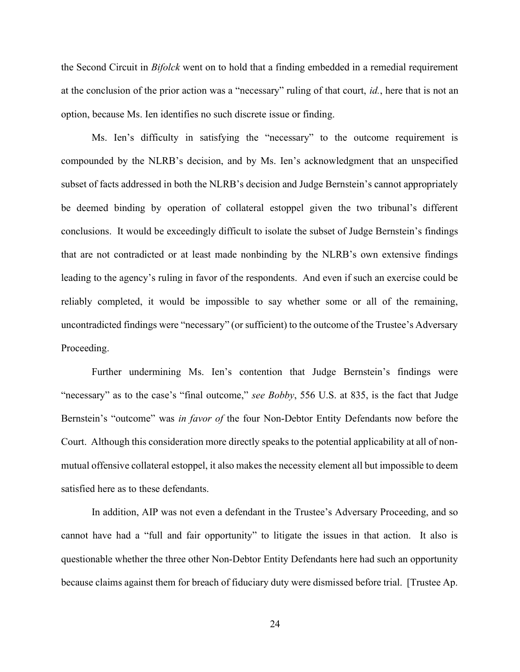the Second Circuit in Bifolck went on to hold that a finding embedded in a remedial requirement at the conclusion of the prior action was a "necessary" ruling of that court, id., here that is not an option, because Ms. Ien identifies no such discrete issue or finding.

Ms. Ien's difficulty in satisfying the "necessary" to the outcome requirement is compounded by the NLRB's decision, and by Ms. Ien's acknowledgment that an unspecified subset of facts addressed in both the NLRB's decision and Judge Bernstein's cannot appropriately be deemed binding by operation of collateral estoppel given the two tribunal's different conclusions. It would be exceedingly difficult to isolate the subset of Judge Bernstein's findings that are not contradicted or at least made nonbinding by the NLRB's own extensive findings leading to the agency's ruling in favor of the respondents. And even if such an exercise could be reliably completed, it would be impossible to say whether some or all of the remaining, uncontradicted findings were "necessary" (or sufficient) to the outcome of the Trustee's Adversary Proceeding.

Further undermining Ms. Ien's contention that Judge Bernstein's findings were "necessary" as to the case's "final outcome," see Bobby, 556 U.S. at 835, is the fact that Judge Bernstein's "outcome" was *in favor of* the four Non-Debtor Entity Defendants now before the Court. Although this consideration more directly speaks to the potential applicability at all of nonmutual offensive collateral estoppel, it also makes the necessity element all but impossible to deem satisfied here as to these defendants.

In addition, AIP was not even a defendant in the Trustee's Adversary Proceeding, and so cannot have had a "full and fair opportunity" to litigate the issues in that action. It also is questionable whether the three other Non-Debtor Entity Defendants here had such an opportunity because claims against them for breach of fiduciary duty were dismissed before trial. [Trustee Ap.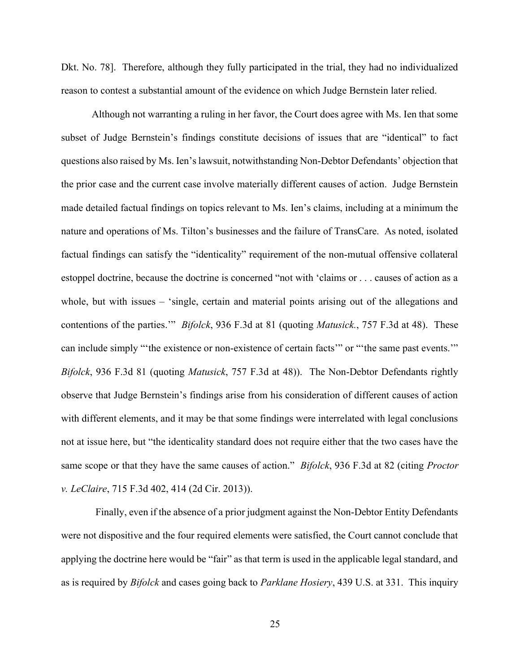Dkt. No. 78]. Therefore, although they fully participated in the trial, they had no individualized reason to contest a substantial amount of the evidence on which Judge Bernstein later relied.

Although not warranting a ruling in her favor, the Court does agree with Ms. Ien that some subset of Judge Bernstein's findings constitute decisions of issues that are "identical" to fact questions also raised by Ms. Ien's lawsuit, notwithstanding Non-Debtor Defendants' objection that the prior case and the current case involve materially different causes of action. Judge Bernstein made detailed factual findings on topics relevant to Ms. Ien's claims, including at a minimum the nature and operations of Ms. Tilton's businesses and the failure of TransCare. As noted, isolated factual findings can satisfy the "identicality" requirement of the non-mutual offensive collateral estoppel doctrine, because the doctrine is concerned "not with 'claims or . . . causes of action as a whole, but with issues – 'single, certain and material points arising out of the allegations and contentions of the parties." *Bifolck*, 936 F.3d at 81 (quoting *Matusick.*, 757 F.3d at 48). These can include simply "'the existence or non-existence of certain facts'" or "'the same past events.'" Bifolck, 936 F.3d 81 (quoting Matusick, 757 F.3d at 48)). The Non-Debtor Defendants rightly observe that Judge Bernstein's findings arise from his consideration of different causes of action with different elements, and it may be that some findings were interrelated with legal conclusions not at issue here, but "the identicality standard does not require either that the two cases have the same scope or that they have the same causes of action." Bifolck, 936 F.3d at 82 (citing Proctor v. LeClaire, 715 F.3d 402, 414 (2d Cir. 2013)).

Finally, even if the absence of a prior judgment against the Non-Debtor Entity Defendants were not dispositive and the four required elements were satisfied, the Court cannot conclude that applying the doctrine here would be "fair" as that term is used in the applicable legal standard, and as is required by *Bifolck* and cases going back to *Parklane Hosiery*, 439 U.S. at 331. This inquiry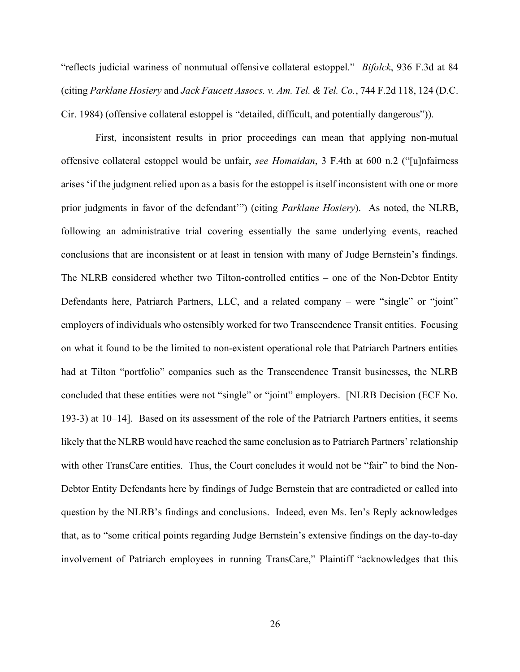"reflects judicial wariness of nonmutual offensive collateral estoppel." Bifolck, 936 F.3d at 84 (citing Parklane Hosiery and Jack Faucett Assocs. v. Am. Tel. & Tel. Co., 744 F.2d 118, 124 (D.C. Cir. 1984) (offensive collateral estoppel is "detailed, difficult, and potentially dangerous")).

First, inconsistent results in prior proceedings can mean that applying non-mutual offensive collateral estoppel would be unfair, see Homaidan, 3 F.4th at 600 n.2 ("[u]nfairness arises 'if the judgment relied upon as a basis for the estoppel is itself inconsistent with one or more prior judgments in favor of the defendant"") (citing *Parklane Hosiery*). As noted, the NLRB, following an administrative trial covering essentially the same underlying events, reached conclusions that are inconsistent or at least in tension with many of Judge Bernstein's findings. The NLRB considered whether two Tilton-controlled entities – one of the Non-Debtor Entity Defendants here, Patriarch Partners, LLC, and a related company – were "single" or "joint" employers of individuals who ostensibly worked for two Transcendence Transit entities. Focusing on what it found to be the limited to non-existent operational role that Patriarch Partners entities had at Tilton "portfolio" companies such as the Transcendence Transit businesses, the NLRB concluded that these entities were not "single" or "joint" employers. [NLRB Decision (ECF No. 193-3) at 10–14]. Based on its assessment of the role of the Patriarch Partners entities, it seems likely that the NLRB would have reached the same conclusion as to Patriarch Partners' relationship with other TransCare entities. Thus, the Court concludes it would not be "fair" to bind the Non-Debtor Entity Defendants here by findings of Judge Bernstein that are contradicted or called into question by the NLRB's findings and conclusions. Indeed, even Ms. Ien's Reply acknowledges that, as to "some critical points regarding Judge Bernstein's extensive findings on the day-to-day involvement of Patriarch employees in running TransCare," Plaintiff "acknowledges that this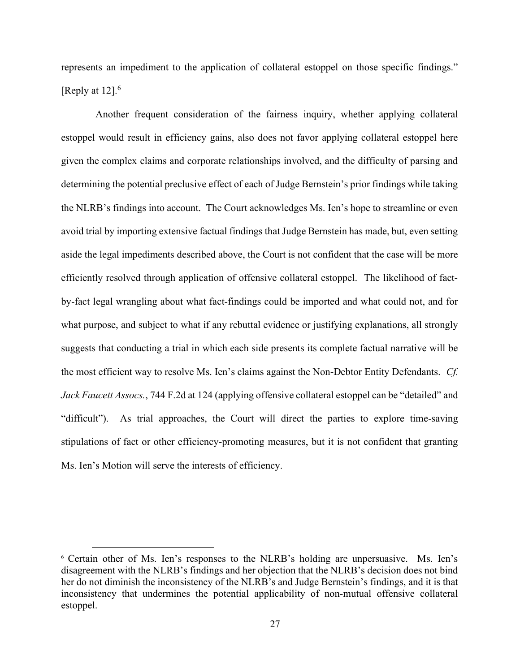represents an impediment to the application of collateral estoppel on those specific findings." [Reply at  $12$ ].<sup>6</sup>

Another frequent consideration of the fairness inquiry, whether applying collateral estoppel would result in efficiency gains, also does not favor applying collateral estoppel here given the complex claims and corporate relationships involved, and the difficulty of parsing and determining the potential preclusive effect of each of Judge Bernstein's prior findings while taking the NLRB's findings into account. The Court acknowledges Ms. Ien's hope to streamline or even avoid trial by importing extensive factual findings that Judge Bernstein has made, but, even setting aside the legal impediments described above, the Court is not confident that the case will be more efficiently resolved through application of offensive collateral estoppel. The likelihood of factby-fact legal wrangling about what fact-findings could be imported and what could not, and for what purpose, and subject to what if any rebuttal evidence or justifying explanations, all strongly suggests that conducting a trial in which each side presents its complete factual narrative will be the most efficient way to resolve Ms. Ien's claims against the Non-Debtor Entity Defendants. Cf. Jack Faucett Assocs., 744 F.2d at 124 (applying offensive collateral estoppel can be "detailed" and "difficult"). As trial approaches, the Court will direct the parties to explore time-saving stipulations of fact or other efficiency-promoting measures, but it is not confident that granting Ms. Ien's Motion will serve the interests of efficiency.

<sup>6</sup> Certain other of Ms. Ien's responses to the NLRB's holding are unpersuasive. Ms. Ien's disagreement with the NLRB's findings and her objection that the NLRB's decision does not bind her do not diminish the inconsistency of the NLRB's and Judge Bernstein's findings, and it is that inconsistency that undermines the potential applicability of non-mutual offensive collateral estoppel.